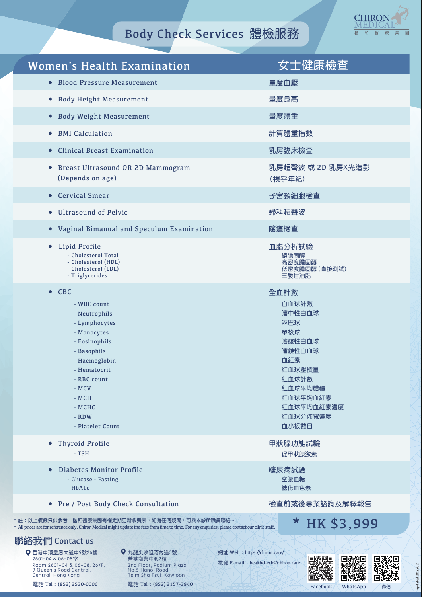

## Body Check Services 體檢服務

| <b>Women's Health Examination</b>                                                                                                                                                                                      | 女士健康檢查                                                                                                                                        |
|------------------------------------------------------------------------------------------------------------------------------------------------------------------------------------------------------------------------|-----------------------------------------------------------------------------------------------------------------------------------------------|
| • Blood Pressure Measurement                                                                                                                                                                                           | 量度血壓                                                                                                                                          |
| • Body Height Measurement                                                                                                                                                                                              | 量度身高                                                                                                                                          |
| • Body Weight Measurement                                                                                                                                                                                              | 量度體重                                                                                                                                          |
| • BMI Calculation                                                                                                                                                                                                      | 計算體重指數                                                                                                                                        |
| • Clinical Breast Examination                                                                                                                                                                                          | 乳房臨床檢查                                                                                                                                        |
| • Breast Ultrasound OR 2D Mammogram<br>(Depends on age)                                                                                                                                                                | 乳房超聲波 或 2D 乳房X光造影<br>(視乎年紀)                                                                                                                   |
| • Cervical Smear                                                                                                                                                                                                       | 子宮頸細胞檢查                                                                                                                                       |
| <b>Ultrasound of Pelvic</b><br>$\bullet$                                                                                                                                                                               | 婦科超聲波                                                                                                                                         |
| • Vaginal Bimanual and Speculum Examination                                                                                                                                                                            | 陰道檢查                                                                                                                                          |
| Lipid Profile<br>$\bullet$<br>- Cholesterol Total<br>- Cholesterol (HDL)<br>- Cholesterol (LDL)<br>- Triglycerides                                                                                                     | 血脂分析試驗<br>總膽固醇<br>高密度膽固醇<br>低密度膽固醇 (直接測試)<br>三酸甘油脂                                                                                            |
| $\bullet$ CBC<br>- WBC count<br>- Neutrophils<br>- Lymphocytes<br>- Monocytes<br>- Eosinophils<br>- Basophils<br>- Haemoglobin<br>- Hematocrit<br>- RBC count<br>- MCV<br>- MCH<br>- MCHC<br>- RDW<br>- Platelet Count | 全血計數<br>白血球計數<br>嗜中性白血球<br>淋巴球<br>單核球<br>嗜酸性白血球<br>嗜鹼性白血球<br>血紅素<br>紅血球壓積量<br>紅血球計數<br>紅血球平均體積<br>紅血球平均血紅素<br>紅血球平均血紅素濃度<br>紅血球分佈寬道度<br>血小板數目 |
| • Thyroid Profile<br>- TSH                                                                                                                                                                                             | 甲狀腺功能試驗<br>促甲狀腺激素                                                                                                                             |
| Diabetes Monitor Profile<br>- Glucose - Fasting<br>$-HbA1c$                                                                                                                                                            | 糖尿病試驗<br>空腹血糖<br>糖化血色素                                                                                                                        |
| • Pre / Post Body Check Consultation                                                                                                                                                                                   | 檢查前或後專業諮詢及解釋報告                                                                                                                                |
| * 註:以上價錢只供參考,楷和醫療集團有權定期更新收費表,如有任何疑問,可與本診所職員聯絡。<br>* All prices are for reference only, Chiron Medical might update the fees from time to time. For any enquiries, please contact our clinic staff.                     | * HK \$3,999                                                                                                                                  |

## 聯絡我們 Contact us

電話 Tel: (852) 2530-0006 香港中環皇后大道中9號26樓 2601-04 & 06-08室 Room 2601-04 & 06-08, 26/F, 9 Queen's Road Central, Central, Hong Kong 九龍尖沙咀河內道5號 普基商業中心2樓 2nd Floor, Podium Plaza, No.5 Hanoi Road, Tsim Sha Tsui, Kowloon 網址 Web: https://chiron.care/

電郵 E-mail: healthcheckachiron.care





updated 202202

updated 202202

電話 Tel: (852) 2157-3840

Facebook WhatsApp 微信